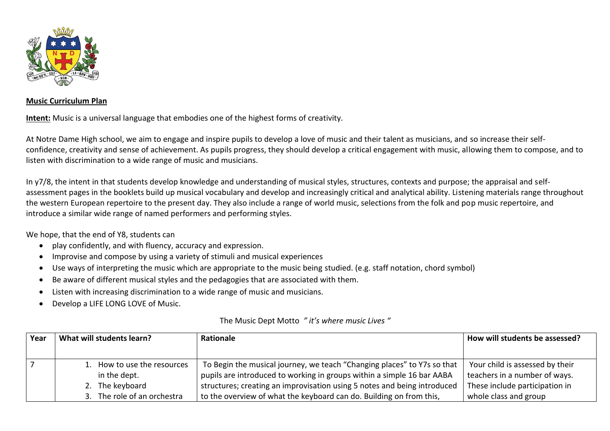

## **Music Curriculum Plan**

**Intent:** Music is a universal language that embodies one of the highest forms of creativity.

At Notre Dame High school, we aim to engage and inspire pupils to develop a love of music and their talent as musicians, and so increase their selfconfidence, creativity and sense of achievement. As pupils progress, they should develop a critical engagement with music, allowing them to compose, and to listen with discrimination to a wide range of music and musicians.

In y7/8, the intent in that students develop knowledge and understanding of musical styles, structures, contexts and purpose; the appraisal and selfassessment pages in the booklets build up musical vocabulary and develop and increasingly critical and analytical ability. Listening materials range throughout the western European repertoire to the present day. They also include a range of world music, selections from the folk and pop music repertoire, and introduce a similar wide range of named performers and performing styles.

We hope, that the end of Y8, students can

- play confidently, and with fluency, accuracy and expression.
- Improvise and compose by using a variety of stimuli and musical experiences
- Use ways of interpreting the music which are appropriate to the music being studied. (e.g. staff notation, chord symbol)
- Be aware of different musical styles and the pedagogies that are associated with them.
- Listen with increasing discrimination to a wide range of music and musicians.
- Develop a LIFE LONG LOVE of Music.

| Year | What will students learn?                   | <b>Rationale</b>                                                                                                                                  | How will students be assessed?                                   |
|------|---------------------------------------------|---------------------------------------------------------------------------------------------------------------------------------------------------|------------------------------------------------------------------|
|      | 1. How to use the resources<br>in the dept. | To Begin the musical journey, we teach "Changing places" to Y7s so that<br>pupils are introduced to working in groups within a simple 16 bar AABA | Your child is assessed by their<br>teachers in a number of ways. |
|      | 2. The keyboard                             | structures; creating an improvisation using 5 notes and being introduced                                                                          | These include participation in                                   |
|      | 3. The role of an orchestra                 | to the overview of what the keyboard can do. Building on from this,                                                                               | whole class and group                                            |

## The Music Dept Motto *" it's where music Lives "*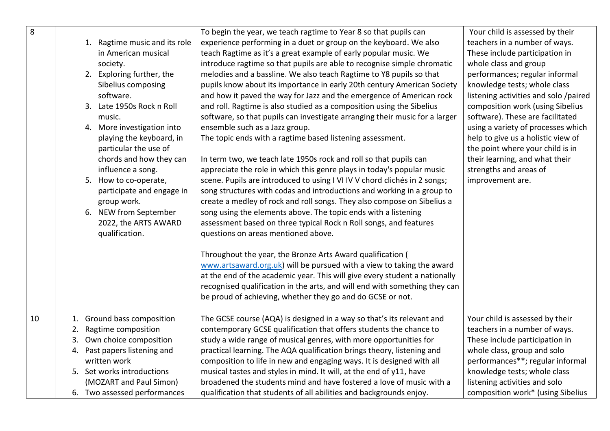| 8  | 1. Ragtime music and its role<br>in American musical<br>society.<br>2. Exploring further, the<br>Sibelius composing<br>software.<br>3. Late 1950s Rock n Roll<br>music.<br>4. More investigation into<br>playing the keyboard, in<br>particular the use of<br>chords and how they can<br>influence a song.<br>5. How to co-operate,<br>participate and engage in<br>group work.<br>6. NEW from September<br>2022, the ARTS AWARD | To begin the year, we teach ragtime to Year 8 so that pupils can<br>experience performing in a duet or group on the keyboard. We also<br>teach Ragtime as it's a great example of early popular music. We<br>introduce ragtime so that pupils are able to recognise simple chromatic<br>melodies and a bassline. We also teach Ragtime to Y8 pupils so that<br>pupils know about its importance in early 20th century American Society<br>and how it paved the way for Jazz and the emergence of American rock<br>and roll. Ragtime is also studied as a composition using the Sibelius<br>software, so that pupils can investigate arranging their music for a larger<br>ensemble such as a Jazz group.<br>The topic ends with a ragtime based listening assessment.<br>In term two, we teach late 1950s rock and roll so that pupils can<br>appreciate the role in which this genre plays in today's popular music<br>scene. Pupils are introduced to using I VI IV V chord clichés in 2 songs;<br>song structures with codas and introductions and working in a group to<br>create a medley of rock and roll songs. They also compose on Sibelius a<br>song using the elements above. The topic ends with a listening<br>assessment based on three typical Rock n Roll songs, and features | Your child is assessed by their<br>teachers in a number of ways.<br>These include participation in<br>whole class and group<br>performances; regular informal<br>knowledge tests; whole class<br>listening activities and solo /paired<br>composition work (using Sibelius<br>software). These are facilitated<br>using a variety of processes which<br>help to give us a holistic view of<br>the point where your child is in<br>their learning, and what their<br>strengths and areas of<br>improvement are. |
|----|----------------------------------------------------------------------------------------------------------------------------------------------------------------------------------------------------------------------------------------------------------------------------------------------------------------------------------------------------------------------------------------------------------------------------------|-----------------------------------------------------------------------------------------------------------------------------------------------------------------------------------------------------------------------------------------------------------------------------------------------------------------------------------------------------------------------------------------------------------------------------------------------------------------------------------------------------------------------------------------------------------------------------------------------------------------------------------------------------------------------------------------------------------------------------------------------------------------------------------------------------------------------------------------------------------------------------------------------------------------------------------------------------------------------------------------------------------------------------------------------------------------------------------------------------------------------------------------------------------------------------------------------------------------------------------------------------------------------------------------------|----------------------------------------------------------------------------------------------------------------------------------------------------------------------------------------------------------------------------------------------------------------------------------------------------------------------------------------------------------------------------------------------------------------------------------------------------------------------------------------------------------------|
|    | qualification.                                                                                                                                                                                                                                                                                                                                                                                                                   | questions on areas mentioned above.<br>Throughout the year, the Bronze Arts Award qualification (<br>www.artsaward.org.uk) will be pursued with a view to taking the award<br>at the end of the academic year. This will give every student a nationally<br>recognised qualification in the arts, and will end with something they can<br>be proud of achieving, whether they go and do GCSE or not.                                                                                                                                                                                                                                                                                                                                                                                                                                                                                                                                                                                                                                                                                                                                                                                                                                                                                          |                                                                                                                                                                                                                                                                                                                                                                                                                                                                                                                |
| 10 | 1. Ground bass composition<br>Ragtime composition<br>2.<br>Own choice composition<br>3.<br>4. Past papers listening and<br>written work<br>5. Set works introductions<br>(MOZART and Paul Simon)<br>6. Two assessed performances                                                                                                                                                                                                 | The GCSE course (AQA) is designed in a way so that's its relevant and<br>contemporary GCSE qualification that offers students the chance to<br>study a wide range of musical genres, with more opportunities for<br>practical learning. The AQA qualification brings theory, listening and<br>composition to life in new and engaging ways. It is designed with all<br>musical tastes and styles in mind. It will, at the end of y11, have<br>broadened the students mind and have fostered a love of music with a<br>qualification that students of all abilities and backgrounds enjoy.                                                                                                                                                                                                                                                                                                                                                                                                                                                                                                                                                                                                                                                                                                     | Your child is assessed by their<br>teachers in a number of ways.<br>These include participation in<br>whole class, group and solo<br>performances**; regular informal<br>knowledge tests; whole class<br>listening activities and solo<br>composition work* (using Sibelius                                                                                                                                                                                                                                    |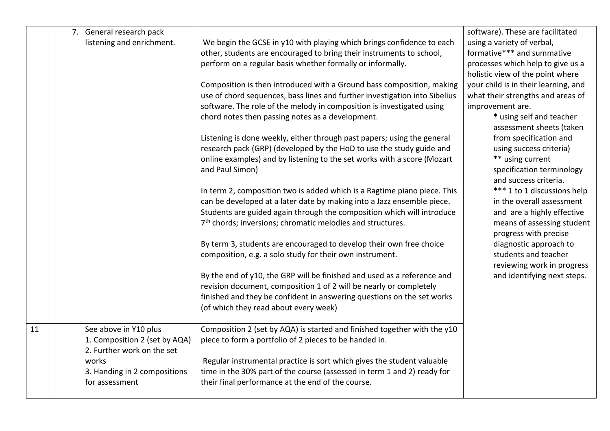|    | 7. General research pack<br>listening and enrichment.                                                                                           | We begin the GCSE in y10 with playing which brings confidence to each<br>other, students are encouraged to bring their instruments to school,<br>perform on a regular basis whether formally or informally.<br>Composition is then introduced with a Ground bass composition, making<br>use of chord sequences, bass lines and further investigation into Sibelius<br>software. The role of the melody in composition is investigated using<br>chord notes then passing notes as a development.<br>Listening is done weekly, either through past papers; using the general<br>research pack (GRP) (developed by the HoD to use the study guide and<br>online examples) and by listening to the set works with a score (Mozart<br>and Paul Simon)<br>In term 2, composition two is added which is a Ragtime piano piece. This<br>can be developed at a later date by making into a Jazz ensemble piece.<br>Students are guided again through the composition which will introduce<br>7 <sup>th</sup> chords; inversions; chromatic melodies and structures.<br>By term 3, students are encouraged to develop their own free choice<br>composition, e.g. a solo study for their own instrument.<br>By the end of y10, the GRP will be finished and used as a reference and | software). These are facilitated<br>using a variety of verbal,<br>formative*** and summative<br>processes which help to give us a<br>holistic view of the point where<br>your child is in their learning, and<br>what their strengths and areas of<br>improvement are.<br>* using self and teacher<br>assessment sheets (taken<br>from specification and<br>using success criteria)<br>** using current<br>specification terminology<br>and success criteria.<br>*** 1 to 1 discussions help<br>in the overall assessment<br>and are a highly effective<br>means of assessing student<br>progress with precise<br>diagnostic approach to<br>students and teacher<br>reviewing work in progress<br>and identifying next steps. |
|----|-------------------------------------------------------------------------------------------------------------------------------------------------|--------------------------------------------------------------------------------------------------------------------------------------------------------------------------------------------------------------------------------------------------------------------------------------------------------------------------------------------------------------------------------------------------------------------------------------------------------------------------------------------------------------------------------------------------------------------------------------------------------------------------------------------------------------------------------------------------------------------------------------------------------------------------------------------------------------------------------------------------------------------------------------------------------------------------------------------------------------------------------------------------------------------------------------------------------------------------------------------------------------------------------------------------------------------------------------------------------------------------------------------------------------------------|-------------------------------------------------------------------------------------------------------------------------------------------------------------------------------------------------------------------------------------------------------------------------------------------------------------------------------------------------------------------------------------------------------------------------------------------------------------------------------------------------------------------------------------------------------------------------------------------------------------------------------------------------------------------------------------------------------------------------------|
|    |                                                                                                                                                 | revision document, composition 1 of 2 will be nearly or completely<br>finished and they be confident in answering questions on the set works<br>(of which they read about every week)                                                                                                                                                                                                                                                                                                                                                                                                                                                                                                                                                                                                                                                                                                                                                                                                                                                                                                                                                                                                                                                                                    |                                                                                                                                                                                                                                                                                                                                                                                                                                                                                                                                                                                                                                                                                                                               |
| 11 | See above in Y10 plus<br>1. Composition 2 (set by AQA)<br>2. Further work on the set<br>works<br>3. Handing in 2 compositions<br>for assessment | Composition 2 (set by AQA) is started and finished together with the y10<br>piece to form a portfolio of 2 pieces to be handed in.<br>Regular instrumental practice is sort which gives the student valuable<br>time in the 30% part of the course (assessed in term 1 and 2) ready for<br>their final performance at the end of the course.                                                                                                                                                                                                                                                                                                                                                                                                                                                                                                                                                                                                                                                                                                                                                                                                                                                                                                                             |                                                                                                                                                                                                                                                                                                                                                                                                                                                                                                                                                                                                                                                                                                                               |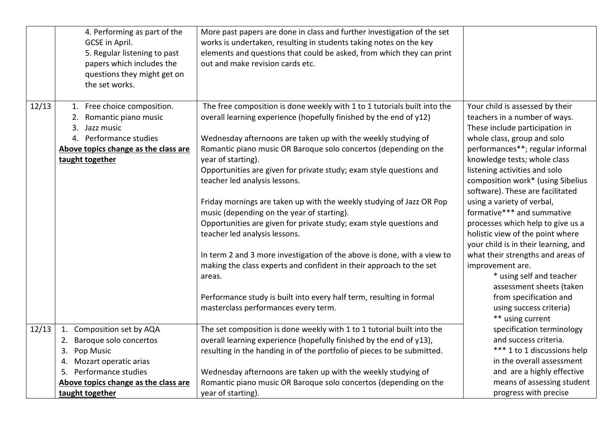|       | 4. Performing as part of the<br>GCSE in April.<br>5. Regular listening to past<br>papers which includes the<br>questions they might get on<br>the set works. | More past papers are done in class and further investigation of the set<br>works is undertaken, resulting in students taking notes on the key<br>elements and questions that could be asked, from which they can print<br>out and make revision cards etc.                                                                                                                                                        |                                                                                                                                                                                                                                                                                                                 |
|-------|--------------------------------------------------------------------------------------------------------------------------------------------------------------|-------------------------------------------------------------------------------------------------------------------------------------------------------------------------------------------------------------------------------------------------------------------------------------------------------------------------------------------------------------------------------------------------------------------|-----------------------------------------------------------------------------------------------------------------------------------------------------------------------------------------------------------------------------------------------------------------------------------------------------------------|
| 12/13 | 1. Free choice composition.<br>2. Romantic piano music<br>3. Jazz music<br>4. Performance studies<br>Above topics change as the class are<br>taught together | The free composition is done weekly with 1 to 1 tutorials built into the<br>overall learning experience (hopefully finished by the end of y12)<br>Wednesday afternoons are taken up with the weekly studying of<br>Romantic piano music OR Baroque solo concertos (depending on the<br>year of starting).<br>Opportunities are given for private study; exam style questions and<br>teacher led analysis lessons. | Your child is assessed by their<br>teachers in a number of ways.<br>These include participation in<br>whole class, group and solo<br>performances**; regular informal<br>knowledge tests; whole class<br>listening activities and solo<br>composition work* (using Sibelius<br>software). These are facilitated |
|       |                                                                                                                                                              | Friday mornings are taken up with the weekly studying of Jazz OR Pop<br>music (depending on the year of starting).<br>Opportunities are given for private study; exam style questions and<br>teacher led analysis lessons.                                                                                                                                                                                        | using a variety of verbal,<br>formative*** and summative<br>processes which help to give us a<br>holistic view of the point where<br>your child is in their learning, and                                                                                                                                       |
|       |                                                                                                                                                              | In term 2 and 3 more investigation of the above is done, with a view to<br>making the class experts and confident in their approach to the set<br>areas.                                                                                                                                                                                                                                                          | what their strengths and areas of<br>improvement are.<br>* using self and teacher<br>assessment sheets (taken                                                                                                                                                                                                   |
|       |                                                                                                                                                              | Performance study is built into every half term, resulting in formal<br>masterclass performances every term.                                                                                                                                                                                                                                                                                                      | from specification and<br>using success criteria)<br>** using current                                                                                                                                                                                                                                           |
| 12/13 | 1. Composition set by AQA<br>2. Baroque solo concertos<br>Pop Music<br>3.<br>4. Mozart operatic arias                                                        | The set composition is done weekly with 1 to 1 tutorial built into the<br>overall learning experience (hopefully finished by the end of y13),<br>resulting in the handing in of the portfolio of pieces to be submitted.                                                                                                                                                                                          | specification terminology<br>and success criteria.<br>*** 1 to 1 discussions help<br>in the overall assessment                                                                                                                                                                                                  |
|       | Performance studies<br>5.<br>Above topics change as the class are<br>taught together                                                                         | Wednesday afternoons are taken up with the weekly studying of<br>Romantic piano music OR Baroque solo concertos (depending on the<br>year of starting).                                                                                                                                                                                                                                                           | and are a highly effective<br>means of assessing student<br>progress with precise                                                                                                                                                                                                                               |